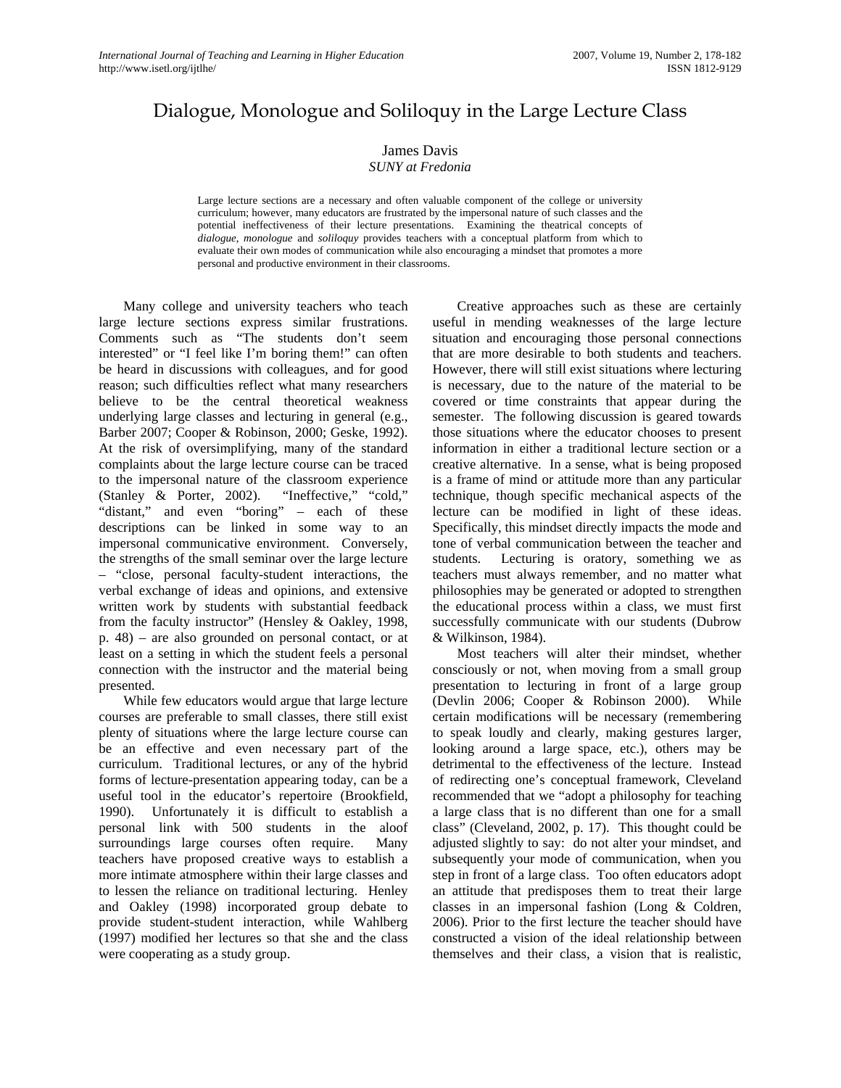## Dialogue, Monologue and Soliloquy in the Large Lecture Class

## James Davis

## *SUNY at Fredonia*

Large lecture sections are a necessary and often valuable component of the college or university curriculum; however, many educators are frustrated by the impersonal nature of such classes and the potential ineffectiveness of their lecture presentations. Examining the theatrical concepts of *dialogue*, *monologue* and *soliloquy* provides teachers with a conceptual platform from which to evaluate their own modes of communication while also encouraging a mindset that promotes a more personal and productive environment in their classrooms.

Many college and university teachers who teach large lecture sections express similar frustrations. Comments such as "The students don't seem interested" or "I feel like I'm boring them!" can often be heard in discussions with colleagues, and for good reason; such difficulties reflect what many researchers believe to be the central theoretical weakness underlying large classes and lecturing in general (e.g., Barber 2007; Cooper & Robinson, 2000; Geske, 1992). At the risk of oversimplifying, many of the standard complaints about the large lecture course can be traced to the impersonal nature of the classroom experience (Stanley & Porter, 2002). "Ineffective," "cold," "distant," and even "boring" – each of these descriptions can be linked in some way to an impersonal communicative environment. Conversely, the strengths of the small seminar over the large lecture – "close, personal faculty-student interactions, the verbal exchange of ideas and opinions, and extensive written work by students with substantial feedback from the faculty instructor" (Hensley & Oakley, 1998, p. 48) – are also grounded on personal contact, or at least on a setting in which the student feels a personal connection with the instructor and the material being presented.

While few educators would argue that large lecture courses are preferable to small classes, there still exist plenty of situations where the large lecture course can be an effective and even necessary part of the curriculum. Traditional lectures, or any of the hybrid forms of lecture-presentation appearing today, can be a useful tool in the educator's repertoire (Brookfield, 1990). Unfortunately it is difficult to establish a personal link with 500 students in the aloof surroundings large courses often require. Many teachers have proposed creative ways to establish a more intimate atmosphere within their large classes and to lessen the reliance on traditional lecturing. Henley and Oakley (1998) incorporated group debate to provide student-student interaction, while Wahlberg (1997) modified her lectures so that she and the class were cooperating as a study group.

Creative approaches such as these are certainly useful in mending weaknesses of the large lecture situation and encouraging those personal connections that are more desirable to both students and teachers. However, there will still exist situations where lecturing is necessary, due to the nature of the material to be covered or time constraints that appear during the semester. The following discussion is geared towards those situations where the educator chooses to present information in either a traditional lecture section or a creative alternative. In a sense, what is being proposed is a frame of mind or attitude more than any particular technique, though specific mechanical aspects of the lecture can be modified in light of these ideas. Specifically, this mindset directly impacts the mode and tone of verbal communication between the teacher and students. Lecturing is oratory, something we as teachers must always remember, and no matter what philosophies may be generated or adopted to strengthen the educational process within a class, we must first successfully communicate with our students (Dubrow & Wilkinson, 1984).

Most teachers will alter their mindset, whether consciously or not, when moving from a small group presentation to lecturing in front of a large group (Devlin 2006; Cooper & Robinson 2000). While certain modifications will be necessary (remembering to speak loudly and clearly, making gestures larger, looking around a large space, etc.), others may be detrimental to the effectiveness of the lecture. Instead of redirecting one's conceptual framework, Cleveland recommended that we "adopt a philosophy for teaching a large class that is no different than one for a small class" (Cleveland, 2002, p. 17). This thought could be adjusted slightly to say: do not alter your mindset, and subsequently your mode of communication, when you step in front of a large class. Too often educators adopt an attitude that predisposes them to treat their large classes in an impersonal fashion (Long & Coldren, 2006). Prior to the first lecture the teacher should have constructed a vision of the ideal relationship between themselves and their class, a vision that is realistic,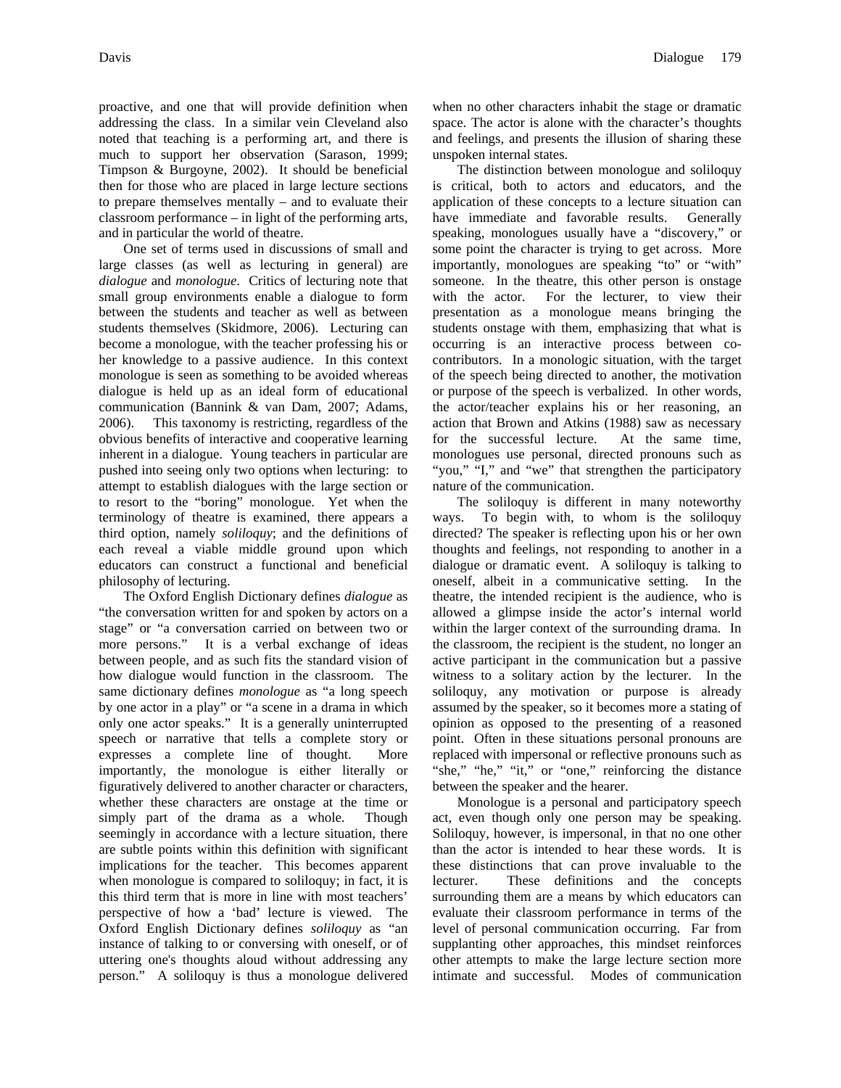proactive, and one that will provide definition when addressing the class. In a similar vein Cleveland also noted that teaching is a performing art, and there is much to support her observation (Sarason, 1999; Timpson & Burgoyne, 2002). It should be beneficial then for those who are placed in large lecture sections to prepare themselves mentally – and to evaluate their classroom performance – in light of the performing arts, and in particular the world of theatre.

One set of terms used in discussions of small and large classes (as well as lecturing in general) are *dialogue* and *monologue*. Critics of lecturing note that small group environments enable a dialogue to form between the students and teacher as well as between students themselves (Skidmore, 2006). Lecturing can become a monologue, with the teacher professing his or her knowledge to a passive audience. In this context monologue is seen as something to be avoided whereas dialogue is held up as an ideal form of educational communication (Bannink & van Dam, 2007; Adams, 2006). This taxonomy is restricting, regardless of the obvious benefits of interactive and cooperative learning inherent in a dialogue. Young teachers in particular are pushed into seeing only two options when lecturing: to attempt to establish dialogues with the large section or to resort to the "boring" monologue. Yet when the terminology of theatre is examined, there appears a third option, namely *soliloquy*; and the definitions of each reveal a viable middle ground upon which educators can construct a functional and beneficial philosophy of lecturing.

The Oxford English Dictionary defines *dialogue* as "the conversation written for and spoken by actors on a stage" or "a conversation carried on between two or more persons." It is a verbal exchange of ideas between people, and as such fits the standard vision of how dialogue would function in the classroom. The same dictionary defines *monologue* as "a long speech by one actor in a play" or "a scene in a drama in which only one actor speaks." It is a generally uninterrupted speech or narrative that tells a complete story or expresses a complete line of thought. More importantly, the monologue is either literally or figuratively delivered to another character or characters, whether these characters are onstage at the time or simply part of the drama as a whole. Though seemingly in accordance with a lecture situation, there are subtle points within this definition with significant implications for the teacher. This becomes apparent when monologue is compared to soliloquy; in fact, it is this third term that is more in line with most teachers' perspective of how a 'bad' lecture is viewed. The Oxford English Dictionary defines *soliloquy* as "an instance of talking to or conversing with oneself, or of uttering one's thoughts aloud without addressing any person." A soliloquy is thus a monologue delivered when no other characters inhabit the stage or dramatic space. The actor is alone with the character's thoughts and feelings, and presents the illusion of sharing these unspoken internal states.

The distinction between monologue and soliloquy is critical, both to actors and educators, and the application of these concepts to a lecture situation can have immediate and favorable results. Generally speaking, monologues usually have a "discovery," or some point the character is trying to get across. More importantly, monologues are speaking "to" or "with" someone. In the theatre, this other person is onstage with the actor. For the lecturer, to view their presentation as a monologue means bringing the students onstage with them, emphasizing that what is occurring is an interactive process between cocontributors. In a monologic situation, with the target of the speech being directed to another, the motivation or purpose of the speech is verbalized. In other words, the actor/teacher explains his or her reasoning, an action that Brown and Atkins (1988) saw as necessary for the successful lecture. At the same time, monologues use personal, directed pronouns such as "you," "I," and "we" that strengthen the participatory nature of the communication.

The soliloquy is different in many noteworthy ways. To begin with, to whom is the soliloquy directed? The speaker is reflecting upon his or her own thoughts and feelings, not responding to another in a dialogue or dramatic event. A soliloquy is talking to oneself, albeit in a communicative setting. In the theatre, the intended recipient is the audience, who is allowed a glimpse inside the actor's internal world within the larger context of the surrounding drama. In the classroom, the recipient is the student, no longer an active participant in the communication but a passive witness to a solitary action by the lecturer. In the soliloquy, any motivation or purpose is already assumed by the speaker, so it becomes more a stating of opinion as opposed to the presenting of a reasoned point. Often in these situations personal pronouns are replaced with impersonal or reflective pronouns such as "she," "he," "it," or "one," reinforcing the distance between the speaker and the hearer.

Monologue is a personal and participatory speech act, even though only one person may be speaking. Soliloquy, however, is impersonal, in that no one other than the actor is intended to hear these words. It is these distinctions that can prove invaluable to the lecturer. These definitions and the concepts surrounding them are a means by which educators can evaluate their classroom performance in terms of the level of personal communication occurring. Far from supplanting other approaches, this mindset reinforces other attempts to make the large lecture section more intimate and successful. Modes of communication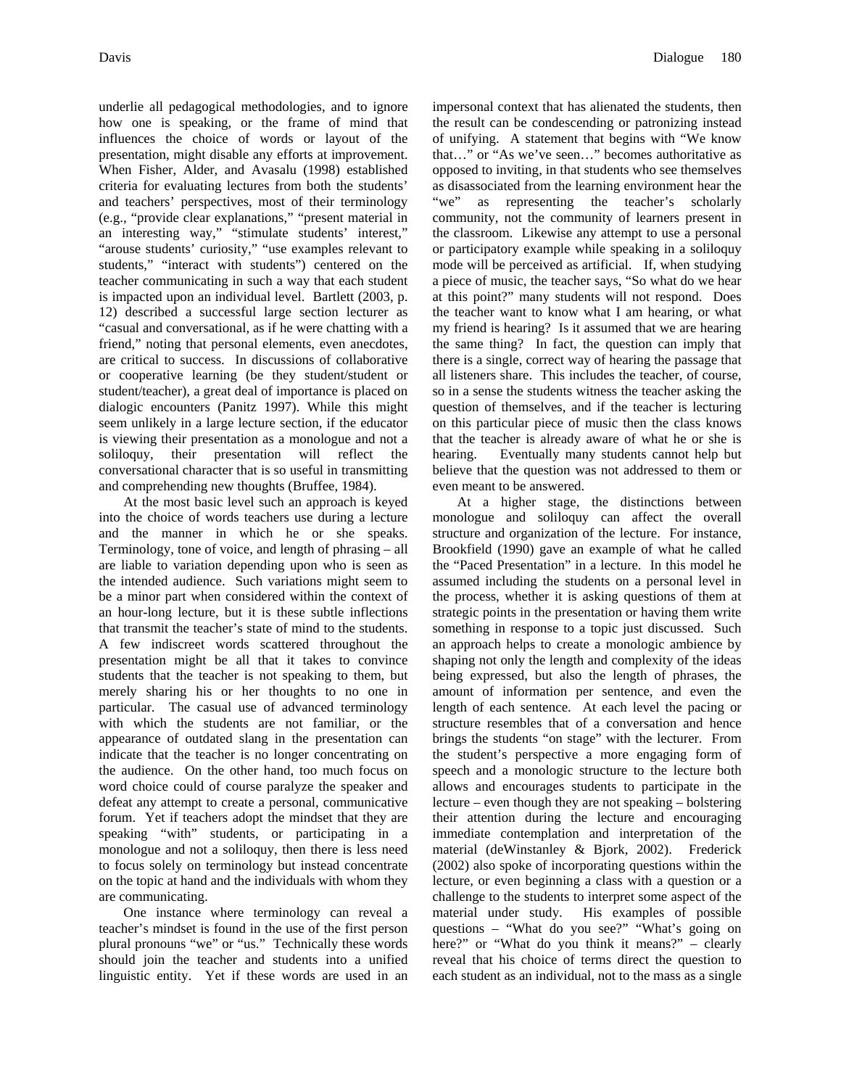underlie all pedagogical methodologies, and to ignore how one is speaking, or the frame of mind that influences the choice of words or layout of the presentation, might disable any efforts at improvement. When Fisher, Alder, and Avasalu (1998) established criteria for evaluating lectures from both the students' and teachers' perspectives, most of their terminology (e.g., "provide clear explanations," "present material in an interesting way," "stimulate students' interest," "arouse students' curiosity," "use examples relevant to students," "interact with students") centered on the teacher communicating in such a way that each student is impacted upon an individual level. Bartlett (2003, p. 12) described a successful large section lecturer as "casual and conversational, as if he were chatting with a friend," noting that personal elements, even anecdotes, are critical to success. In discussions of collaborative or cooperative learning (be they student/student or student/teacher), a great deal of importance is placed on dialogic encounters (Panitz 1997). While this might seem unlikely in a large lecture section, if the educator is viewing their presentation as a monologue and not a soliloquy, their presentation will reflect the conversational character that is so useful in transmitting and comprehending new thoughts (Bruffee, 1984).

At the most basic level such an approach is keyed into the choice of words teachers use during a lecture and the manner in which he or she speaks. Terminology, tone of voice, and length of phrasing – all are liable to variation depending upon who is seen as the intended audience. Such variations might seem to be a minor part when considered within the context of an hour-long lecture, but it is these subtle inflections that transmit the teacher's state of mind to the students. A few indiscreet words scattered throughout the presentation might be all that it takes to convince students that the teacher is not speaking to them, but merely sharing his or her thoughts to no one in particular. The casual use of advanced terminology with which the students are not familiar, or the appearance of outdated slang in the presentation can indicate that the teacher is no longer concentrating on the audience. On the other hand, too much focus on word choice could of course paralyze the speaker and defeat any attempt to create a personal, communicative forum. Yet if teachers adopt the mindset that they are speaking "with" students, or participating in a monologue and not a soliloquy, then there is less need to focus solely on terminology but instead concentrate on the topic at hand and the individuals with whom they are communicating.

One instance where terminology can reveal a teacher's mindset is found in the use of the first person plural pronouns "we" or "us." Technically these words should join the teacher and students into a unified linguistic entity. Yet if these words are used in an impersonal context that has alienated the students, then the result can be condescending or patronizing instead of unifying. A statement that begins with "We know that…" or "As we've seen…" becomes authoritative as opposed to inviting, in that students who see themselves as disassociated from the learning environment hear the "we" as representing the teacher's scholarly community, not the community of learners present in the classroom. Likewise any attempt to use a personal or participatory example while speaking in a soliloquy mode will be perceived as artificial. If, when studying a piece of music, the teacher says, "So what do we hear at this point?" many students will not respond. Does the teacher want to know what I am hearing, or what my friend is hearing? Is it assumed that we are hearing the same thing? In fact, the question can imply that there is a single, correct way of hearing the passage that all listeners share. This includes the teacher, of course, so in a sense the students witness the teacher asking the question of themselves, and if the teacher is lecturing on this particular piece of music then the class knows that the teacher is already aware of what he or she is hearing. Eventually many students cannot help but believe that the question was not addressed to them or even meant to be answered.

At a higher stage, the distinctions between monologue and soliloquy can affect the overall structure and organization of the lecture. For instance, Brookfield (1990) gave an example of what he called the "Paced Presentation" in a lecture. In this model he assumed including the students on a personal level in the process, whether it is asking questions of them at strategic points in the presentation or having them write something in response to a topic just discussed. Such an approach helps to create a monologic ambience by shaping not only the length and complexity of the ideas being expressed, but also the length of phrases, the amount of information per sentence, and even the length of each sentence. At each level the pacing or structure resembles that of a conversation and hence brings the students "on stage" with the lecturer. From the student's perspective a more engaging form of speech and a monologic structure to the lecture both allows and encourages students to participate in the lecture – even though they are not speaking – bolstering their attention during the lecture and encouraging immediate contemplation and interpretation of the material (deWinstanley & Bjork, 2002). Frederick (2002) also spoke of incorporating questions within the lecture, or even beginning a class with a question or a challenge to the students to interpret some aspect of the material under study. His examples of possible questions – "What do you see?" "What's going on here?" or "What do you think it means?" – clearly reveal that his choice of terms direct the question to each student as an individual, not to the mass as a single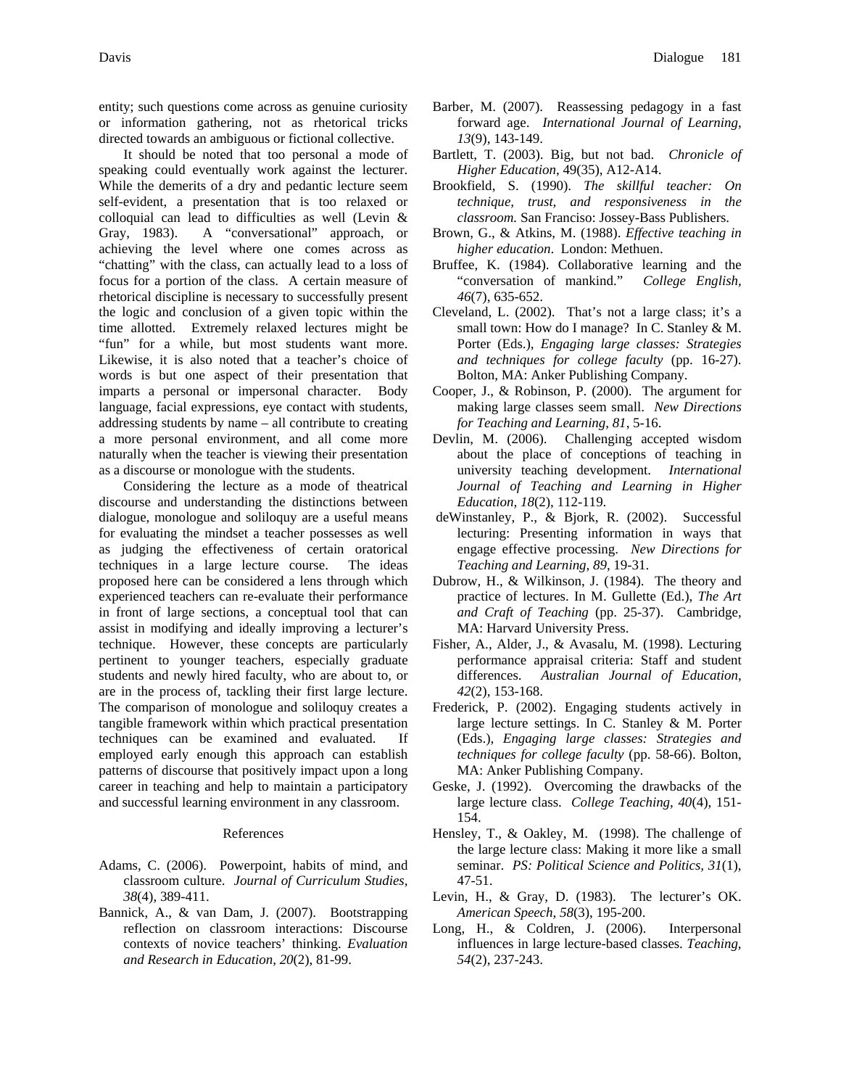entity; such questions come across as genuine curiosity or information gathering, not as rhetorical tricks directed towards an ambiguous or fictional collective.

It should be noted that too personal a mode of speaking could eventually work against the lecturer. While the demerits of a dry and pedantic lecture seem self-evident, a presentation that is too relaxed or colloquial can lead to difficulties as well (Levin & Gray, 1983). A "conversational" approach, or achieving the level where one comes across as "chatting" with the class, can actually lead to a loss of focus for a portion of the class. A certain measure of rhetorical discipline is necessary to successfully present the logic and conclusion of a given topic within the time allotted. Extremely relaxed lectures might be "fun" for a while, but most students want more. Likewise, it is also noted that a teacher's choice of words is but one aspect of their presentation that imparts a personal or impersonal character. Body language, facial expressions, eye contact with students, addressing students by name – all contribute to creating a more personal environment, and all come more naturally when the teacher is viewing their presentation as a discourse or monologue with the students.

Considering the lecture as a mode of theatrical discourse and understanding the distinctions between dialogue, monologue and soliloquy are a useful means for evaluating the mindset a teacher possesses as well as judging the effectiveness of certain oratorical techniques in a large lecture course. The ideas proposed here can be considered a lens through which experienced teachers can re-evaluate their performance in front of large sections, a conceptual tool that can assist in modifying and ideally improving a lecturer's technique. However, these concepts are particularly pertinent to younger teachers, especially graduate students and newly hired faculty, who are about to, or are in the process of, tackling their first large lecture. The comparison of monologue and soliloquy creates a tangible framework within which practical presentation techniques can be examined and evaluated. If employed early enough this approach can establish patterns of discourse that positively impact upon a long career in teaching and help to maintain a participatory and successful learning environment in any classroom.

## References

- Adams, C. (2006). Powerpoint, habits of mind, and classroom culture. *Journal of Curriculum Studies, 38*(4), 389-411.
- Bannick, A., & van Dam, J. (2007). Bootstrapping reflection on classroom interactions: Discourse contexts of novice teachers' thinking. *Evaluation and Research in Education, 20*(2), 81-99.
- Barber, M. (2007). Reassessing pedagogy in a fast forward age. *International Journal of Learning, 13*(9), 143-149.
- Bartlett, T. (2003). Big, but not bad. *Chronicle of Higher Education*, 49(35), A12-A14.
- Brookfield, S. (1990). *The skillful teacher: On technique, trust, and responsiveness in the classroom.* San Franciso: Jossey-Bass Publishers.
- Brown, G., & Atkins, M. (1988). *Effective teaching in higher education*. London: Methuen.
- Bruffee, K. (1984). Collaborative learning and the "conversation of mankind." *College English, 46*(7), 635-652.
- Cleveland, L. (2002). That's not a large class; it's a small town: How do I manage? In C. Stanley & M. Porter (Eds.), *Engaging large classes: Strategies and techniques for college faculty* (pp. 16-27). Bolton, MA: Anker Publishing Company.
- Cooper, J., & Robinson, P. (2000). The argument for making large classes seem small. *New Directions for Teaching and Learning*, *81*, 5-16.
- Devlin, M. (2006). Challenging accepted wisdom about the place of conceptions of teaching in university teaching development. *International Journal of Teaching and Learning in Higher Education, 18*(2), 112-119.
- deWinstanley, P., & Bjork, R. (2002). Successful lecturing: Presenting information in ways that engage effective processing. *New Directions for Teaching and Learning, 89*, 19-31.
- Dubrow, H., & Wilkinson, J. (1984). The theory and practice of lectures. In M. Gullette (Ed.), *The Art and Craft of Teaching* (pp. 25-37). Cambridge, MA: Harvard University Press.
- Fisher, A., Alder, J., & Avasalu, M. (1998). Lecturing performance appraisal criteria: Staff and student differences. *Australian Journal of Education*, *42*(2), 153-168.
- Frederick, P. (2002). Engaging students actively in large lecture settings. In C. Stanley & M. Porter (Eds.), *Engaging large classes: Strategies and techniques for college faculty* (pp. 58-66). Bolton, MA: Anker Publishing Company.
- Geske, J. (1992). Overcoming the drawbacks of the large lecture class. *College Teaching*, *40*(4), 151- 154.
- Hensley, T., & Oakley, M. (1998). The challenge of the large lecture class: Making it more like a small seminar. *PS: Political Science and Politics, 31*(1), 47-51.
- Levin, H., & Gray, D. (1983). The lecturer's OK. *American Speech, 58*(3), 195-200.
- Long, H., & Coldren, J. (2006). Interpersonal influences in large lecture-based classes. *Teaching, 54*(2), 237-243.